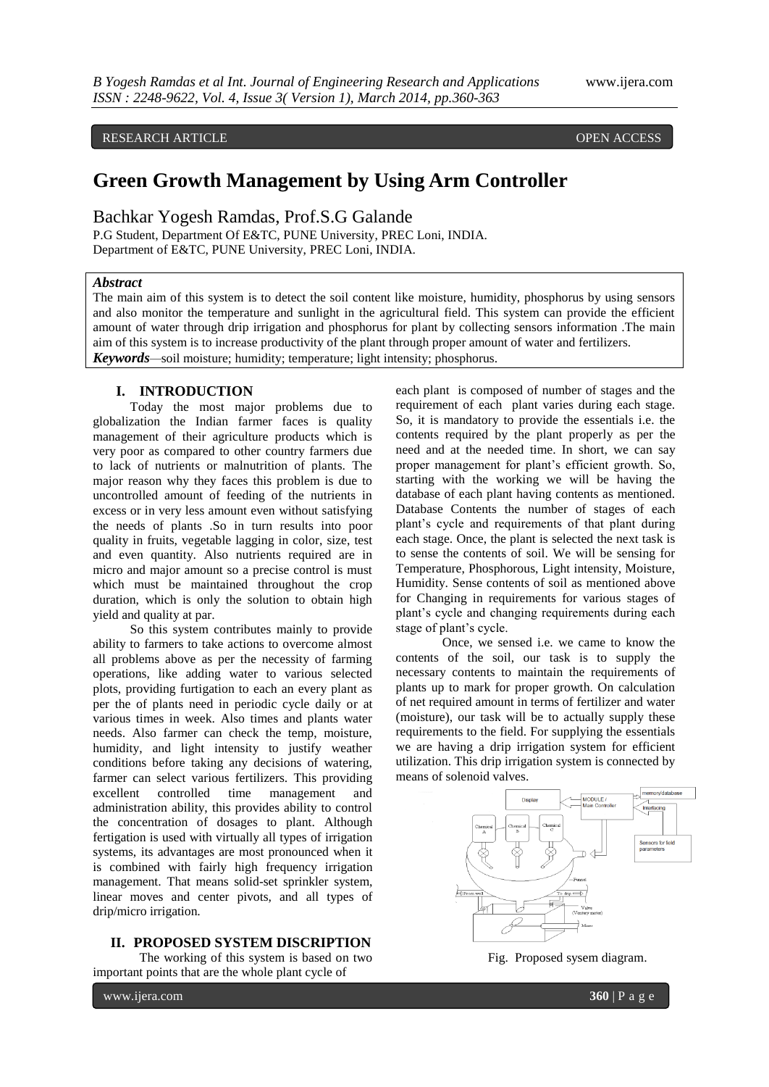# RESEARCH ARTICLE **CONTRACT ARTICLE**

# **Green Growth Management by Using Arm Controller**

Bachkar Yogesh Ramdas, Prof.S.G Galande

P.G Student, Department Of E&TC, PUNE University, PREC Loni, INDIA. Department of E&TC, PUNE University, PREC Loni, INDIA.

### *Abstract*

The main aim of this system is to detect the soil content like moisture, humidity, phosphorus by using sensors and also monitor the temperature and sunlight in the agricultural field. This system can provide the efficient amount of water through drip irrigation and phosphorus for plant by collecting sensors information .The main aim of this system is to increase productivity of the plant through proper amount of water and fertilizers. *Keywords—*soil moisture; humidity; temperature; light intensity; phosphorus.

## **I. INTRODUCTION**

Today the most major problems due to globalization the Indian farmer faces is quality management of their agriculture products which is very poor as compared to other country farmers due to lack of nutrients or malnutrition of plants. The major reason why they faces this problem is due to uncontrolled amount of feeding of the nutrients in excess or in very less amount even without satisfying the needs of plants .So in turn results into poor quality in fruits, vegetable lagging in color, size, test and even quantity. Also nutrients required are in micro and major amount so a precise control is must which must be maintained throughout the crop duration, which is only the solution to obtain high yield and quality at par.

So this system contributes mainly to provide ability to farmers to take actions to overcome almost all problems above as per the necessity of farming operations, like adding water to various selected plots, providing furtigation to each an every plant as per the of plants need in periodic cycle daily or at various times in week. Also times and plants water needs. Also farmer can check the temp, moisture, humidity, and light intensity to justify weather conditions before taking any decisions of watering, farmer can select various fertilizers. This providing excellent controlled time management and administration ability, this provides ability to control the concentration of dosages to plant. Although fertigation is used with virtually all types of irrigation systems, its advantages are most pronounced when it is combined with fairly high frequency irrigation management. That means solid-set sprinkler system, linear moves and center pivots, and all types of drip/micro irrigation.

## **II. PROPOSED SYSTEM DISCRIPTION**

The working of this system is based on two important points that are the whole plant cycle of

each plant is composed of number of stages and the requirement of each plant varies during each stage. So, it is mandatory to provide the essentials i.e. the contents required by the plant properly as per the need and at the needed time. In short, we can say proper management for plant's efficient growth. So, starting with the working we will be having the database of each plant having contents as mentioned. Database Contents the number of stages of each plant's cycle and requirements of that plant during each stage. Once, the plant is selected the next task is to sense the contents of soil. We will be sensing for Temperature, Phosphorous, Light intensity, Moisture, Humidity. Sense contents of soil as mentioned above for Changing in requirements for various stages of plant's cycle and changing requirements during each stage of plant's cycle.

Once, we sensed i.e. we came to know the contents of the soil, our task is to supply the necessary contents to maintain the requirements of plants up to mark for proper growth. On calculation of net required amount in terms of fertilizer and water (moisture), our task will be to actually supply these requirements to the field. For supplying the essentials we are having a drip irrigation system for efficient utilization. This drip irrigation system is connected by means of solenoid valves.



Fig. Proposed sysem diagram.

www.ijera.com **360** | P a g e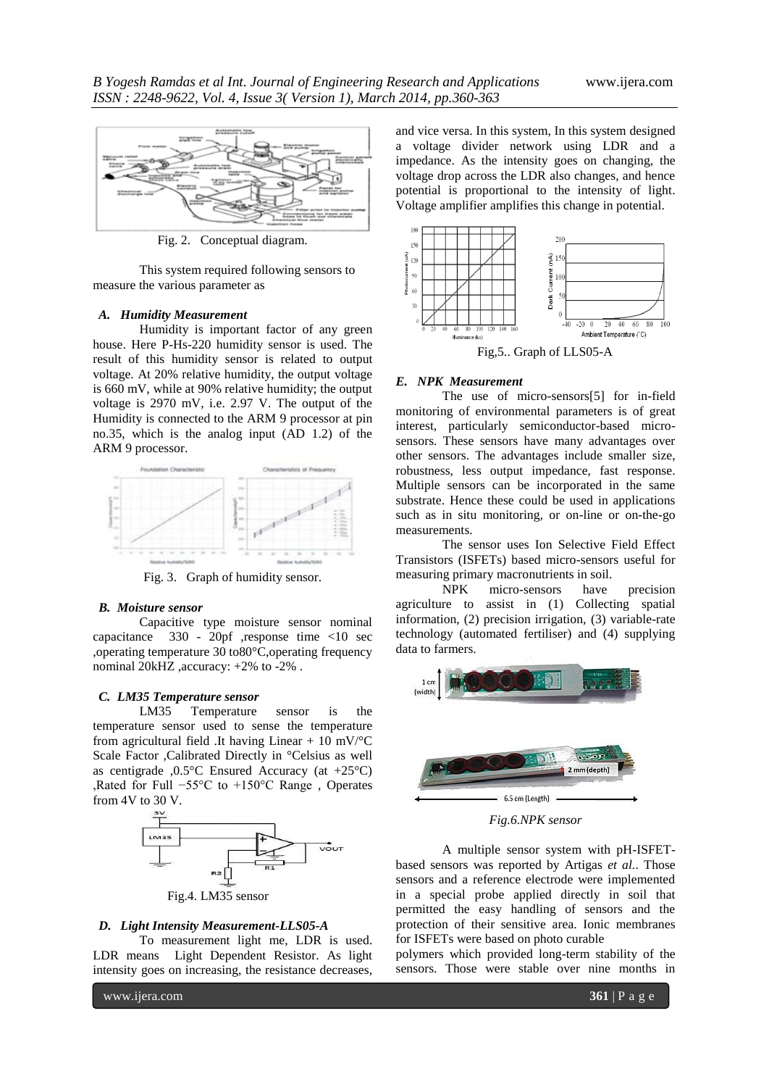

Fig. 2. Conceptual diagram.

This system required following sensors to measure the various parameter as

### *A. Humidity Measurement*

Humidity is important factor of any green house. Here P-Hs-220 humidity sensor is used. The result of this humidity sensor is related to output voltage. At 20% relative humidity, the output voltage is 660 mV, while at 90% relative humidity; the output voltage is 2970 mV, i.e. 2.97 V. The output of the Humidity is connected to the ARM 9 processor at pin no.35, which is the analog input (AD 1.2) of the ARM 9 processor.



Fig. 3. Graph of humidity sensor.

#### *B. Moisture sensor*

Capacitive type moisture sensor nominal capacitance 330 - 20pf ,response time <10 sec ,operating temperature 30 to80°C,operating frequency nominal 20kHZ ,accuracy: +2% to -2% .

## *C. LM35 Temperature sensor*

LM35 Temperature sensor is the temperature sensor used to sense the temperature from agricultural field .It having Linear + 10 mV/ $\mathrm{C}$ Scale Factor ,Calibrated Directly in °Celsius as well as centigrade ,0.5°C Ensured Accuracy (at +25°C) ,Rated for Full −55°C to +150°C Range , Operates from 4V to 30 V.



#### *D. Light Intensity Measurement-LLS05-A*

To measurement light me, LDR is used. LDR means Light Dependent Resistor. As light intensity goes on increasing, the resistance decreases,

and vice versa. In this system, In this system designed a voltage divider network using LDR and a impedance. As the intensity goes on changing, the voltage drop across the LDR also changes, and hence potential is proportional to the intensity of light. Voltage amplifier amplifies this change in potential.



Fig,5.. Graph of LLS05-A

#### *E. NPK Measurement*

The use of micro-sensors[5] for in-field monitoring of environmental parameters is of great interest, particularly semiconductor-based microsensors. These sensors have many advantages over other sensors. The advantages include smaller size, robustness, less output impedance, fast response. Multiple sensors can be incorporated in the same substrate. Hence these could be used in applications such as in situ monitoring, or on-line or on-the-go measurements.

The sensor uses Ion Selective Field Effect Transistors (ISFETs) based micro-sensors useful for measuring primary macronutrients in soil.

NPK micro-sensors have precision agriculture to assist in (1) Collecting spatial information, (2) precision irrigation, (3) variable-rate technology (automated fertiliser) and (4) supplying data to farmers.



*Fig.6.NPK sensor*

A multiple sensor system with pH-ISFETbased sensors was reported by Artigas *et al.*. Those sensors and a reference electrode were implemented in a special probe applied directly in soil that permitted the easy handling of sensors and the protection of their sensitive area. Ionic membranes for ISFETs were based on photo curable

polymers which provided long-term stability of the sensors. Those were stable over nine months in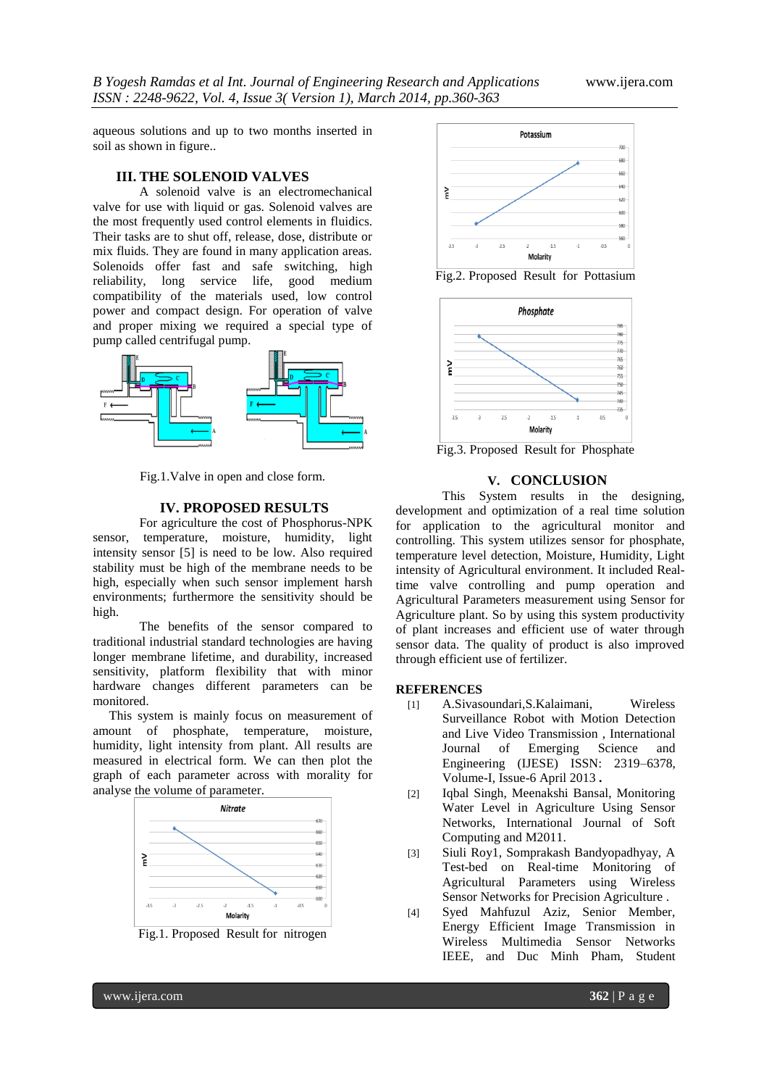aqueous solutions and up to two months inserted in soil as shown in figure..

# **III. THE SOLENOID VALVES**

A solenoid valve is an [electromechanical](http://en.wikipedia.org/wiki/Electromechanical) [valve](http://en.wikipedia.org/wiki/Valve) for use with [liquid](http://en.wikipedia.org/wiki/Liquid) or gas. Solenoid valves are the most frequently used control elements in [fluidics.](http://en.wikipedia.org/wiki/Fluidics) Their tasks are to shut off, release, dose, distribute or mix fluids. They are found in many application areas. Solenoids offer fast and safe switching, high reliability, long service life, good medium compatibility of the materials used, low control power and compact design. For operation of valve and proper mixing we required a special type of pump called centrifugal pump.



Fig.1.Valve in open and close form.

# **IV. PROPOSED RESULTS**

For agriculture the cost of Phosphorus-NPK sensor, temperature, moisture, humidity, light intensity sensor [5] is need to be low. Also required stability must be high of the membrane needs to be high, especially when such sensor implement harsh environments; furthermore the sensitivity should be high.

The benefits of the sensor compared to traditional industrial standard technologies are having longer membrane lifetime, and durability, increased sensitivity, platform flexibility that with minor hardware changes different parameters can be monitored.

 This system is mainly focus on measurement of amount of phosphate, temperature, moisture, humidity, light intensity from plant. All results are measured in electrical form. We can then plot the graph of each parameter across with morality for analyse the volume of parameter.



Fig.1. Proposed Result for nitrogen



Fig.2. Proposed Result for Pottasium



Fig.3. Proposed Result for Phosphate

# **V. CONCLUSION**

This System results in the designing, development and optimization of a real time solution for application to the agricultural monitor and controlling. This system utilizes sensor for phosphate, temperature level detection, Moisture, Humidity, Light intensity of Agricultural environment. It included Realtime valve controlling and pump operation and Agricultural Parameters measurement using Sensor for Agriculture plant. So by using this system productivity of plant increases and efficient use of water through sensor data. The quality of product is also improved through efficient use of fertilizer.

## **REFERENCES**

- [1] A.Sivasoundari,S.Kalaimani, Wireless Surveillance Robot with Motion Detection and Live Video Transmission , International Journal of Emerging Science and Engineering (IJESE) ISSN: 2319–6378, Volume-I, Issue-6 April 2013 **.**
- [2] Iqbal Singh, Meenakshi Bansal, Monitoring Water Level in Agriculture Using Sensor Networks, International Journal of Soft Computing and M2011.
- [3] Siuli Roy1, Somprakash Bandyopadhyay, A Test-bed on Real-time Monitoring of Agricultural Parameters using Wireless Sensor Networks for Precision Agriculture .
- [4] Syed Mahfuzul Aziz, Senior Member, Energy Efficient Image Transmission in Wireless Multimedia Sensor Networks IEEE, and Duc Minh Pham, Student